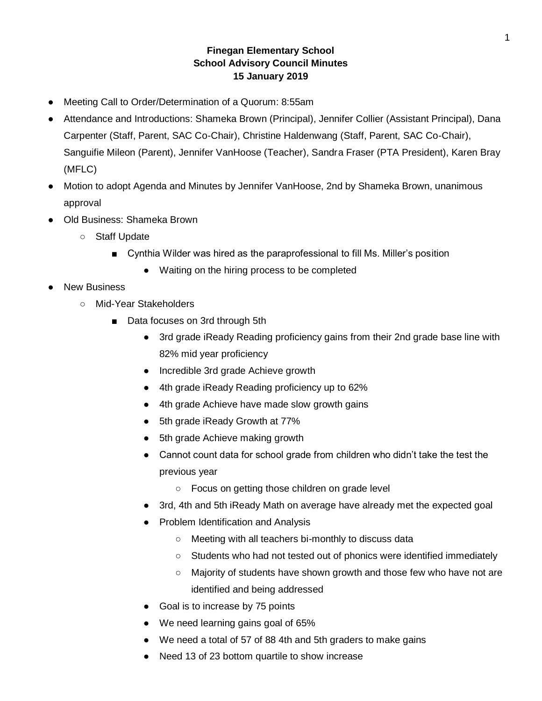## **Finegan Elementary School School Advisory Council Minutes 15 January 2019**

- Meeting Call to Order/Determination of a Quorum: 8:55am
- Attendance and Introductions: Shameka Brown (Principal), Jennifer Collier (Assistant Principal), Dana Carpenter (Staff, Parent, SAC Co-Chair), Christine Haldenwang (Staff, Parent, SAC Co-Chair), Sanguifie Mileon (Parent), Jennifer VanHoose (Teacher), Sandra Fraser (PTA President), Karen Bray (MFLC)
- Motion to adopt Agenda and Minutes by Jennifer VanHoose, 2nd by Shameka Brown, unanimous approval
- Old Business: Shameka Brown
	- Staff Update
		- Cynthia Wilder was hired as the paraprofessional to fill Ms. Miller's position
			- Waiting on the hiring process to be completed
- **New Business** 
	- Mid-Year Stakeholders
		- Data focuses on 3rd through 5th
			- 3rd grade iReady Reading proficiency gains from their 2nd grade base line with 82% mid year proficiency
			- Incredible 3rd grade Achieve growth
			- 4th grade iReady Reading proficiency up to 62%
			- 4th grade Achieve have made slow growth gains
			- 5th grade iReady Growth at 77%
			- 5th grade Achieve making growth
			- Cannot count data for school grade from children who didn't take the test the previous year
				- Focus on getting those children on grade level
			- 3rd, 4th and 5th iReady Math on average have already met the expected goal
			- Problem Identification and Analysis
				- Meeting with all teachers bi-monthly to discuss data
				- Students who had not tested out of phonics were identified immediately
				- Majority of students have shown growth and those few who have not are identified and being addressed
			- Goal is to increase by 75 points
			- We need learning gains goal of 65%
			- We need a total of 57 of 88 4th and 5th graders to make gains
			- Need 13 of 23 bottom quartile to show increase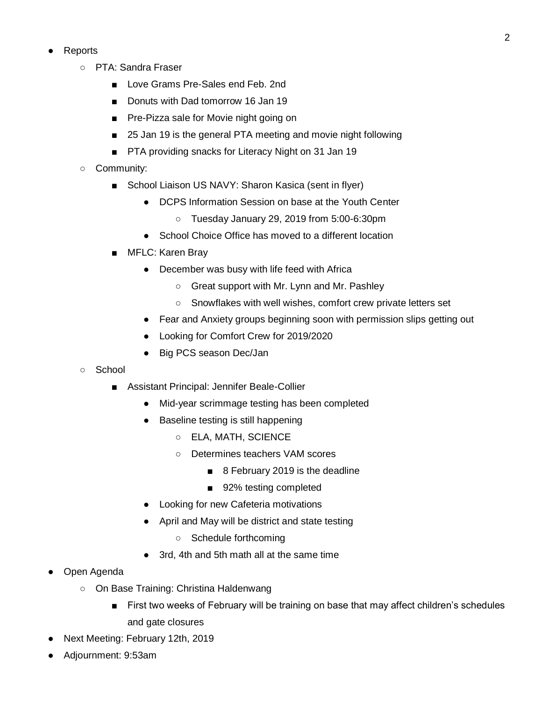- **Reports** 
	- PTA: Sandra Fraser
		- Love Grams Pre-Sales end Feb. 2nd
		- Donuts with Dad tomorrow 16 Jan 19
		- Pre-Pizza sale for Movie night going on
		- 25 Jan 19 is the general PTA meeting and movie night following
		- PTA providing snacks for Literacy Night on 31 Jan 19
	- Community:
		- School Liaison US NAVY: Sharon Kasica (sent in flyer)
			- DCPS Information Session on base at the Youth Center
				- Tuesday January 29, 2019 from 5:00-6:30pm
			- School Choice Office has moved to a different location
		- MFLC: Karen Bray
			- December was busy with life feed with Africa
				- Great support with Mr. Lynn and Mr. Pashley
				- Snowflakes with well wishes, comfort crew private letters set
			- Fear and Anxiety groups beginning soon with permission slips getting out
			- Looking for Comfort Crew for 2019/2020
			- Big PCS season Dec/Jan
	- School
		- Assistant Principal: Jennifer Beale-Collier
			- Mid-year scrimmage testing has been completed
			- Baseline testing is still happening
				- ELA, MATH, SCIENCE
				- Determines teachers VAM scores
					- 8 February 2019 is the deadline
					- 92% testing completed
			- Looking for new Cafeteria motivations
			- April and May will be district and state testing
				- Schedule forthcoming
			- 3rd, 4th and 5th math all at the same time
- Open Agenda
	- On Base Training: Christina Haldenwang
		- First two weeks of February will be training on base that may affect children's schedules and gate closures
- Next Meeting: February 12th, 2019
- Adjournment: 9:53am